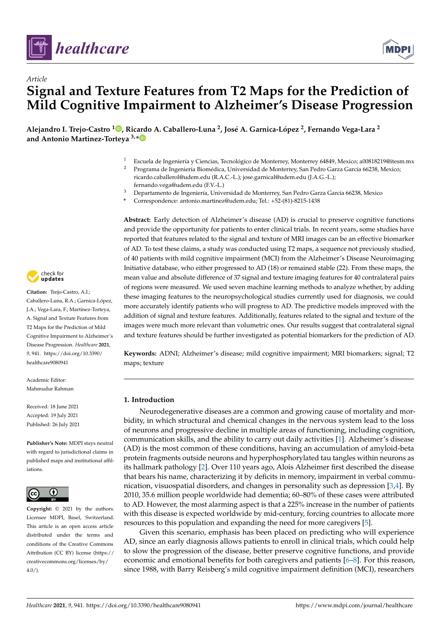



# *Article* **Signal and Texture Features from T2 Maps for the Prediction of Mild Cognitive Impairment to Alzheimer's Disease Progression**

**Alejandro I. Trejo-Castro <sup>1</sup> [,](https://orcid.org/0000-0002-8008-6961) Ricardo A. Caballero-Luna <sup>2</sup> , José A. Garnica-López <sup>2</sup> , Fernando Vega-Lara <sup>2</sup> and Antonio Martinez-Torteya 3,[\\*](https://orcid.org/0000-0002-7637-4637)**

- <sup>1</sup> Escuela de Ingeniería y Ciencias, Tecnológico de Monterrey, Monterrey 64849, Mexico; a00818219@itesm.mx
- <sup>2</sup> Programa de Ingeniería Biomédica, Universidad de Monterrey, San Pedro Garza García 66238, Mexico; ricardo.caballerol@udem.edu (R.A.C.-L.); jose.garnical@udem.edu (J.A.G.-L.);
	- fernando.vega@udem.edu (F.V.-L.)
- <sup>3</sup> Departamento de Ingeniería, Universidad de Monterrey, San Pedro Garza García 66238, Mexico
- **\*** Correspondence: antonio.martinez@udem.edu; Tel.: +52-(81)-8215-1438

check for **-**

**Citation:** Trejo-Castro, A.I.; Caballero-Luna, R.A.; Garnica-López, J.A.; Vega-Lara, F.; Martinez-Torteya, A. Signal and Texture Features from T2 Maps for the Prediction of Mild Cognitive Impairment to Alzheimer's Disease Progression. *Healthcare* **2021**, *9*, 941. [https://doi.org/10.3390/](https://doi.org/10.3390/healthcare9080941) [healthcare9080941](https://doi.org/10.3390/healthcare9080941)

Academic Editor: Mahmudur Rahman

Received: 18 June 2021 Accepted: 19 July 2021 Published: 26 July 2021

**Publisher's Note:** MDPI stays neutral with regard to jurisdictional claims in published maps and institutional affiliations.



**Copyright:** © 2021 by the authors. Licensee MDPI, Basel, Switzerland. This article is an open access article distributed under the terms and conditions of the Creative Commons Attribution (CC BY) license (https:/[/](https://creativecommons.org/licenses/by/4.0/) [creativecommons.org/licenses/by/](https://creativecommons.org/licenses/by/4.0/)  $4.0/$ ).

**Abstract:** Early detection of Alzheimer's disease (AD) is crucial to preserve cognitive functions and provide the opportunity for patients to enter clinical trials. In recent years, some studies have reported that features related to the signal and texture of MRI images can be an effective biomarker of AD. To test these claims, a study was conducted using T2 maps, a sequence not previously studied, of 40 patients with mild cognitive impairment (MCI) from the Alzheimer's Disease Neuroimaging Initiative database, who either progressed to AD (18) or remained stable (22). From these maps, the mean value and absolute difference of 37 signal and texture imaging features for 40 contralateral pairs of regions were measured. We used seven machine learning methods to analyze whether, by adding these imaging features to the neuropsychological studies currently used for diagnosis, we could more accurately identify patients who will progress to AD. The predictive models improved with the addition of signal and texture features. Additionally, features related to the signal and texture of the images were much more relevant than volumetric ones. Our results suggest that contralateral signal and texture features should be further investigated as potential biomarkers for the prediction of AD.

**Keywords:** ADNI; Alzheimer's disease; mild cognitive impairment; MRI biomarkers; signal; T2 maps; texture

# **1. Introduction**

Neurodegenerative diseases are a common and growing cause of mortality and morbidity, in which structural and chemical changes in the nervous system lead to the loss of neurons and progressive decline in multiple areas of functioning, including cognition, communication skills, and the ability to carry out daily activities [\[1\]](#page-8-0). Alzheimer's disease (AD) is the most common of these conditions, having an accumulation of amyloid-beta protein fragments outside neurons and hyperphosphorylated tau tangles within neurons as its hallmark pathology [\[2\]](#page-8-1). Over 110 years ago, Alois Alzheimer first described the disease that bears his name, characterizing it by deficits in memory, impairment in verbal communication, visuospatial disorders, and changes in personality such as depression [\[3,](#page-8-2)[4\]](#page-8-3). By 2010, 35.6 million people worldwide had dementia; 60–80% of these cases were attributed to AD. However, the most alarming aspect is that a 225% increase in the number of patients with this disease is expected worldwide by mid-century, forcing countries to allocate more resources to this population and expanding the need for more caregivers [\[5\]](#page-8-4).

Given this scenario, emphasis has been placed on predicting who will experience AD, since an early diagnosis allows patients to enroll in clinical trials, which could help to slow the progression of the disease, better preserve cognitive functions, and provide economic and emotional benefits for both caregivers and patients [\[6–](#page-8-5)[8\]](#page-8-6). For this reason, since 1988, with Barry Reisberg's mild cognitive impairment definition (MCI), researchers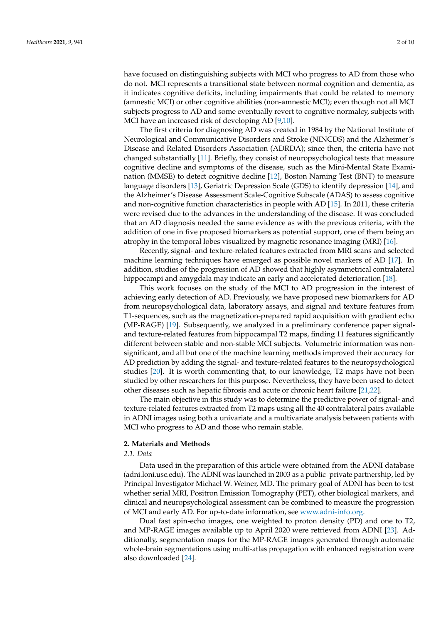have focused on distinguishing subjects with MCI who progress to AD from those who do not. MCI represents a transitional state between normal cognition and dementia, as it indicates cognitive deficits, including impairments that could be related to memory (amnestic MCI) or other cognitive abilities (non-amnestic MCI); even though not all MCI subjects progress to AD and some eventually revert to cognitive normalcy, subjects with MCI have an increased risk of developing AD [\[9,](#page-8-7)[10\]](#page-8-8).

The first criteria for diagnosing AD was created in 1984 by the National Institute of Neurological and Communicative Disorders and Stroke (NINCDS) and the Alzheimer's Disease and Related Disorders Association (ADRDA); since then, the criteria have not changed substantially [\[11\]](#page-8-9). Briefly, they consist of neuropsychological tests that measure cognitive decline and symptoms of the disease, such as the Mini-Mental State Examination (MMSE) to detect cognitive decline [\[12\]](#page-8-10), Boston Naming Test (BNT) to measure language disorders [\[13\]](#page-8-11), Geriatric Depression Scale (GDS) to identify depression [\[14\]](#page-8-12), and the Alzheimer's Disease Assessment Scale-Cognitive Subscale (ADAS) to assess cognitive and non-cognitive function characteristics in people with AD [\[15\]](#page-8-13). In 2011, these criteria were revised due to the advances in the understanding of the disease. It was concluded that an AD diagnosis needed the same evidence as with the previous criteria, with the addition of one in five proposed biomarkers as potential support, one of them being an atrophy in the temporal lobes visualized by magnetic resonance imaging (MRI) [\[16\]](#page-8-14).

Recently, signal- and texture-related features extracted from MRI scans and selected machine learning techniques have emerged as possible novel markers of AD [\[17\]](#page-8-15). In addition, studies of the progression of AD showed that highly asymmetrical contralateral hippocampi and amygdala may indicate an early and accelerated deterioration [\[18\]](#page-8-16).

This work focuses on the study of the MCI to AD progression in the interest of achieving early detection of AD. Previously, we have proposed new biomarkers for AD from neuropsychological data, laboratory assays, and signal and texture features from T1-sequences, such as the magnetization-prepared rapid acquisition with gradient echo (MP-RAGE) [\[19\]](#page-8-17). Subsequently, we analyzed in a preliminary conference paper signaland texture-related features from hippocampal T2 maps, finding 11 features significantly different between stable and non-stable MCI subjects. Volumetric information was nonsignificant, and all but one of the machine learning methods improved their accuracy for AD prediction by adding the signal- and texture-related features to the neuropsychological studies [\[20\]](#page-8-18). It is worth commenting that, to our knowledge, T2 maps have not been studied by other researchers for this purpose. Nevertheless, they have been used to detect other diseases such as hepatic fibrosis and acute or chronic heart failure [\[21,](#page-8-19)[22\]](#page-8-20).

The main objective in this study was to determine the predictive power of signal- and texture-related features extracted from T2 maps using all the 40 contralateral pairs available in ADNI images using both a univariate and a multivariate analysis between patients with MCI who progress to AD and those who remain stable.

#### **2. Materials and Methods**

# *2.1. Data*

Data used in the preparation of this article were obtained from the ADNI database (adni.loni.usc.edu). The ADNI was launched in 2003 as a public–private partnership, led by Principal Investigator Michael W. Weiner, MD. The primary goal of ADNI has been to test whether serial MRI, Positron Emission Tomography (PET), other biological markers, and clinical and neuropsychological assessment can be combined to measure the progression of MCI and early AD. For up-to-date information, see [www.adni-info.org.](www.adni-info.org)

Dual fast spin-echo images, one weighted to proton density (PD) and one to T2, and MP-RAGE images available up to April 2020 were retrieved from ADNI [\[23\]](#page-8-21). Additionally, segmentation maps for the MP-RAGE images generated through automatic whole-brain segmentations using multi-atlas propagation with enhanced registration were also downloaded [\[24\]](#page-9-0).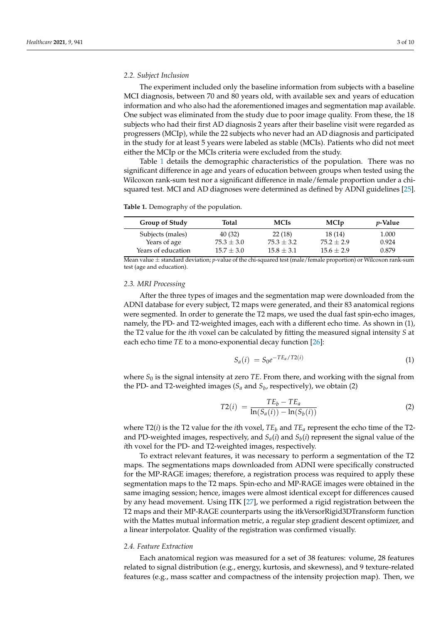## *2.2. Subject Inclusion*

The experiment included only the baseline information from subjects with a baseline MCI diagnosis, between 70 and 80 years old, with available sex and years of education information and who also had the aforementioned images and segmentation map available. One subject was eliminated from the study due to poor image quality. From these, the 18 subjects who had their first AD diagnosis 2 years after their baseline visit were regarded as progressers (MCIp), while the 22 subjects who never had an AD diagnosis and participated in the study for at least 5 years were labeled as stable (MCIs). Patients who did not meet either the MCIp or the MCIs criteria were excluded from the study.

Table [1](#page-2-0) details the demographic characteristics of the population. There was no significant difference in age and years of education between groups when tested using the Wilcoxon rank-sum test nor a significant difference in male/female proportion under a chisquared test. MCI and AD diagnoses were determined as defined by ADNI guidelines [\[25\]](#page-9-1).

<span id="page-2-0"></span>**Table 1.** Demography of the population.

| <b>Group of Study</b> | Total        | <b>MCIs</b>  | <b>MCIp</b>  | <i>v</i> -Value |
|-----------------------|--------------|--------------|--------------|-----------------|
| Subjects (males)      | 40 (32)      | 22(18)       | 18(14)       | 1.000           |
| Years of age          | $75.3 + 3.0$ | $75.3 + 3.2$ | $75.2 + 2.9$ | 0.924           |
| Years of education    | $15.7 + 3.0$ | $15.8 + 3.1$ | $15.6 + 2.9$ | 0.879           |

Mean value ± standard deviation; *p*-value of the chi-squared test (male/female proportion) or Wilcoxon rank-sum test (age and education).

#### *2.3. MRI Processing*

After the three types of images and the segmentation map were downloaded from the ADNI database for every subject, T2 maps were generated, and their 83 anatomical regions were segmented. In order to generate the T2 maps, we used the dual fast spin-echo images, namely, the PD- and T2-weighted images, each with a different echo time. As shown in (1), the T2 value for the *i*th voxel can be calculated by fitting the measured signal intensity *S* at each echo time *TE* to a mono-exponential decay function [\[26\]](#page-9-2):

$$
S_a(i) = S_0 e^{-TE_a/T2(i)}
$$
\n(1)

where  $S_0$  is the signal intensity at zero *TE*. From there, and working with the signal from the PD- and T2-weighted images ( $S_a$  and  $S_b$ , respectively), we obtain (2)

$$
T2(i) = \frac{TE_b - TE_a}{\ln(S_a(i)) - \ln(S_b(i))}
$$
 (2)

where T2(*i*) is the T2 value for the *i*th voxel,  $TE_b$  and  $TE_a$  represent the echo time of the T2and PD-weighted images, respectively, and *Sa*(*i*) and *S<sup>b</sup>* (*i*) represent the signal value of the *i*th voxel for the PD- and T2-weighted images, respectively.

To extract relevant features, it was necessary to perform a segmentation of the T2 maps. The segmentations maps downloaded from ADNI were specifically constructed for the MP-RAGE images; therefore, a registration process was required to apply these segmentation maps to the T2 maps. Spin-echo and MP-RAGE images were obtained in the same imaging session; hence, images were almost identical except for differences caused by any head movement. Using ITK [\[27\]](#page-9-3), we performed a rigid registration between the T2 maps and their MP-RAGE counterparts using the itkVersorRigid3DTransform function with the Mattes mutual information metric, a regular step gradient descent optimizer, and a linear interpolator. Quality of the registration was confirmed visually.

## *2.4. Feature Extraction*

Each anatomical region was measured for a set of 38 features: volume, 28 features related to signal distribution (e.g., energy, kurtosis, and skewness), and 9 texture-related features (e.g., mass scatter and compactness of the intensity projection map). Then, we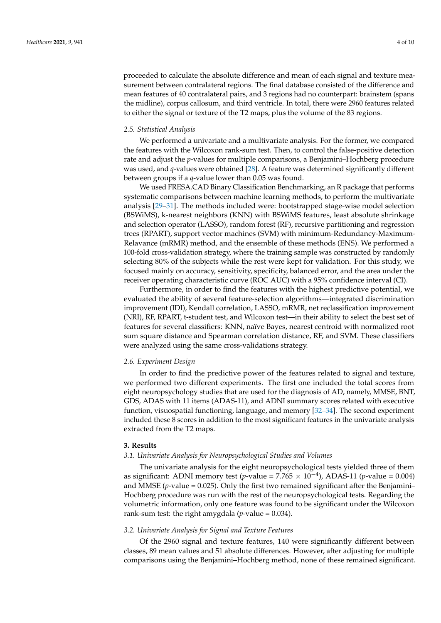proceeded to calculate the absolute difference and mean of each signal and texture measurement between contralateral regions. The final database consisted of the difference and mean features of 40 contralateral pairs, and 3 regions had no counterpart: brainstem (spans the midline), corpus callosum, and third ventricle. In total, there were 2960 features related to either the signal or texture of the T2 maps, plus the volume of the 83 regions.

#### *2.5. Statistical Analysis*

We performed a univariate and a multivariate analysis. For the former, we compared the features with the Wilcoxon rank-sum test. Then, to control the false-positive detection rate and adjust the *p*-values for multiple comparisons, a Benjamini–Hochberg procedure was used, and *q*-values were obtained [\[28\]](#page-9-4). A feature was determined significantly different between groups if a *q*-value lower than 0.05 was found.

We used FRESA.CAD Binary Classification Benchmarking, an R package that performs systematic comparisons between machine learning methods, to perform the multivariate analysis [\[29–](#page-9-5)[31\]](#page-9-6). The methods included were: bootstrapped stage-wise model selection (BSWiMS), k-nearest neighbors (KNN) with BSWiMS features, least absolute shrinkage and selection operator (LASSO), random forest (RF), recursive partitioning and regression trees (RPART), support vector machines (SVM) with minimum-Redundancy-Maximum-Relavance (mRMR) method, and the ensemble of these methods (ENS). We performed a 100-fold cross-validation strategy, where the training sample was constructed by randomly selecting 80% of the subjects while the rest were kept for validation. For this study, we focused mainly on accuracy, sensitivity, specificity, balanced error, and the area under the receiver operating characteristic curve (ROC AUC) with a 95% confidence interval (CI).

Furthermore, in order to find the features with the highest predictive potential, we evaluated the ability of several feature-selection algorithms—integrated discrimination improvement (IDI), Kendall correlation, LASSO, mRMR, net reclassification improvement (NRI), RF, RPART, t-student test, and Wilcoxon test—in their ability to select the best set of features for several classifiers: KNN, naïve Bayes, nearest centroid with normalized root sum square distance and Spearman correlation distance, RF, and SVM. These classifiers were analyzed using the same cross-validations strategy.

#### *2.6. Experiment Design*

In order to find the predictive power of the features related to signal and texture, we performed two different experiments. The first one included the total scores from eight neuropsychology studies that are used for the diagnosis of AD, namely, MMSE, BNT, GDS, ADAS with 11 items (ADAS-11), and ADNI summary scores related with executive function, visuospatial functioning, language, and memory [\[32–](#page-9-7)[34\]](#page-9-8). The second experiment included these 8 scores in addition to the most significant features in the univariate analysis extracted from the T2 maps.

#### **3. Results**

# *3.1. Univariate Analysis for Neuropsychological Studies and Volumes*

The univariate analysis for the eight neuropsychological tests yielded three of them as significant: ADNI memory test (*p*-value =  $7.765 \times 10^{-4}$ ), ADAS-11 (*p*-value = 0.004) and MMSE ( $p$ -value = 0.025). Only the first two remained significant after the Benjamini– Hochberg procedure was run with the rest of the neuropsychological tests. Regarding the volumetric information, only one feature was found to be significant under the Wilcoxon rank-sum test: the right amygdala (*p*-value = 0.034).

# *3.2. Univariate Analysis for Signal and Texture Features*

Of the 2960 signal and texture features, 140 were significantly different between classes, 89 mean values and 51 absolute differences. However, after adjusting for multiple comparisons using the Benjamini–Hochberg method, none of these remained significant.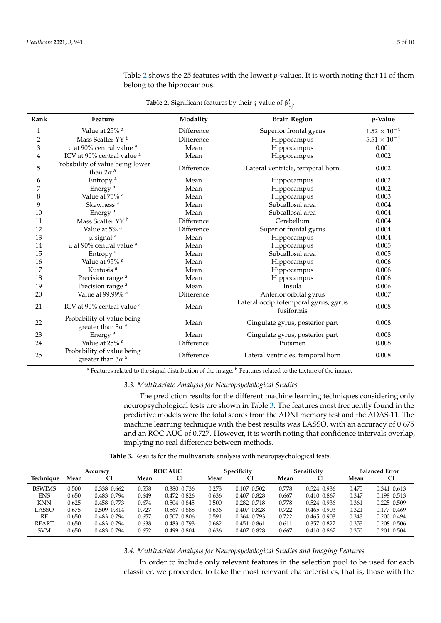<span id="page-4-0"></span>**Rank Feature Modality Brain Region** *p***-Value** 1 Value at 25% a Difference Superior frontal gyrus  $1.52 \times 10^{-4}$ <br>2 Mass Scatter YY b Difference Hippocampus 5.51 × 10<sup>-4</sup> 2 Mass Scatter YY <sup>b</sup> Difference Hippocampus 3 σ at 90% central value <sup>a</sup> Mean Hippocampus 0.001 4 ICV at 90% central value <sup>a</sup> Mean Hippocampus 0.002 5 Probability of value being lower than  $2σ<sup>a</sup>$ Difference Lateral ventricle, temporal horn 0.002 6 Entropy <sup>a</sup> Mean Hippocampus 0.002 7 Energy <sup>a</sup> Bean Mean Hippocampus 0.002 8 Value at 75% <sup>a</sup> Mean Mean Hippocampus 0.003 9 Skewness <sup>a</sup> Mean Subcallosal area 0.004<br>10 Energy <sup>a</sup> Mean Subcallosal area 0.004 10 Energy <sup>a</sup> Nean Subcallosal area 0.004 11 Mass Scatter YY <sup>b</sup> Difference Cerebellum 0.004<br>12 Value at 5% <sup>a</sup> Difference Superior frontal gyrus 0.004 12 Value at 5% <sup>a</sup> Difference Superior frontal gyrus 0.004<br>13 μ signal <sup>a</sup> Mean Hippocampus 0.004 13 **13 u** signal <sup>a</sup> **13 Mean Hippocampus 13 13 1** 14 μ at 90% central value <sup>a</sup> Mean Hippocampus 0.005 15 **Entropy a Community Community Community Community Community Community Community Community Community Community Community Community Community Community Community Community Community Community Community Community Communit** 16 Value at 95% <sup>a</sup> Mean Hippocampus 0.006 17 Kurtosis <sup>a</sup> Mean Hippocampus 0.006 18 Precision range <sup>a</sup> Mean Mean Hippocampus 0.006 19 Precision range a Mean Mean Insula 19 December 19 Precision range a Mean Mean Insula 20 Value at 99.99% <sup>a</sup> Difference Blue Anterior orbital gyrus 0.007 21 ICV at 90% central value <sup>a</sup> Mean Lateral occipitotemporal gyrus, gyrus  $\frac{1}{2}$ fusiformis 0.008 22 Probability of value being greater than  $3\sigma$ <sup>a</sup><br>Energy<sup>a</sup> Mean Cingulate gyrus, posterior part 0.008 23 Energy <sup>a</sup> Mean Cingulate gyrus, posterior part 0.008<br>24 Value at 25% <sup>a</sup> Difference Putamen 0.008 24 Value at 25% <sup>a</sup> Difference Difference Putamen 0.008 <sup>25</sup> Probability of value being greater than  $3\sigma$ <sup>a</sup> Difference Lateral ventricles, temporal horn 0.008

Table [2](#page-4-0) shows the 25 features with the lowest *p*-values. It is worth noting that 11 of them belong to the hippocampus.

**Table 2.** Significant features by their *q*-value of  $\beta'_{1j}$ .

<sup>a</sup> Features related to the signal distribution of the image; <sup>b</sup> Features related to the texture of the image.

*3.3. Multivariate Analysis for Neuropsychological Studies*

The prediction results for the different machine learning techniques considering only neuropsychological tests are shown in Table [3.](#page-4-1) The features most frequently found in the predictive models were the total scores from the ADNI memory test and the ADAS-11. The machine learning technique with the best results was LASSO, with an accuracy of 0.675 and an ROC AUC of 0.727. However, it is worth noting that confidence intervals overlap, implying no real difference between methods.

**Table 3.** Results for the multivariate analysis with neuropsychological tests.

<span id="page-4-1"></span>

|               | Accuracy |                 | <b>ROC AUC</b> |                 | Specificity |                 | Sensitivity |                 | <b>Balanced Error</b> |                 |
|---------------|----------|-----------------|----------------|-----------------|-------------|-----------------|-------------|-----------------|-----------------------|-----------------|
| Technique     | Mean     | CI              | Mean           | CI              | Mean        | СI              | Mean        | CI              | Mean                  | CI              |
| <b>BSWIMS</b> | 0.500    | $0.338 - 0.662$ | 0.558          | $0.380 - 0.736$ | 0.273       | $0.107 - 0.502$ | 0.778       | $0.524 - 0.936$ | 0.475                 | $0.341 - 0.613$ |
| <b>ENS</b>    | 0.650    | $0.483 - 0.794$ | 0.649          | $0.472 - 0.826$ | 0.636       | $0.407 - 0.828$ | 0.667       | $0.410 - 0.867$ | 0.347                 | $0.198 - 0.513$ |
| <b>KNN</b>    | 0.625    | $0.458 - 0.773$ | 0.674          | $0.504 - 0.845$ | 0.500       | $0.282 - 0.718$ | 0.778       | $0.524 - 0.936$ | 0.361                 | $0.225 - 0.509$ |
| LASSO         | 0.675    | $0.509 - 0.814$ | 0.727          | $0.567 - 0.888$ | 0.636       | $0.407 - 0.828$ | 0.722       | $0.465 - 0.903$ | 0.321                 | $0.177 - 0.469$ |
| RF            | 0.650    | $0.483 - 0.794$ | 0.657          | $0.507 - 0.806$ | 0.591       | $0.364 - 0.793$ | 0.722       | $0.465 - 0.903$ | 0.343                 | $0.200 - 0.494$ |
| <b>RPART</b>  | 0.650    | $0.483 - 0.794$ | 0.638          | $0.483 - 0.793$ | 0.682       | $0.451 - 0.861$ | 0.611       | $0.357 - 0.827$ | 0.353                 | $0.208 - 0.506$ |
| <b>SVM</b>    | 0.650    | $0.483 - 0.794$ | 0.652          | $0.499 - 0.804$ | 0.636       | $0.407 - 0.828$ | 0.667       | $0.410 - 0.867$ | 0.350                 | $0.201 - 0.504$ |

*3.4. Multivariate Analysis for Neuropsychological Studies and Imaging Features*

In order to include only relevant features in the selection pool to be used for each classifier, we proceeded to take the most relevant characteristics, that is, those with the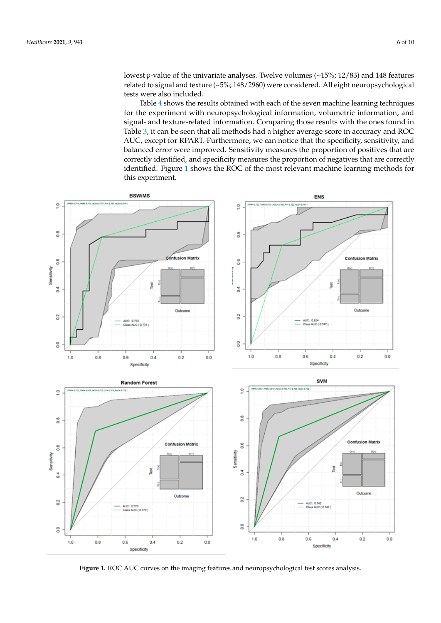lowest *p*-value of the univariate analyses. Twelve volumes (~15%; 12/83) and 148 features related to signal and texture (~5%; 148/2960) were considered. All eight neuropsychological tests were also included.

Table [4](#page-6-0) shows the results obtained with each of the seven machine learning techniques for the experiment with neuropsychological information, volumetric information, and signal- and texture-related information. Comparing those results with the ones found in Table [3,](#page-4-1) it can be seen that all methods had a higher average score in accuracy and ROC AUC, except for RPART. Furthermore, we can notice that the specificity, sensitivity, and balanced error were improved. Sensitivity measures the proportion of positives that are correctly identified, and specificity measures the proportion of negatives that are correctly dentified. Figure [1](#page-5-0) shows the ROC of the most relevant machine learning methods for this experiment.

<span id="page-5-0"></span>

**Figure 1.** ROC AUC curves on the imaging features and neuropsychological test scores analysis. **Figure 1.** ROC AUC curves on the imaging features and neuropsychological test scores analysis.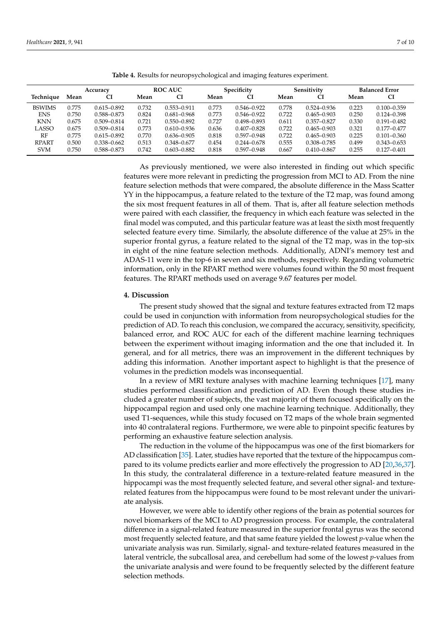<span id="page-6-0"></span>

|               | Accuracy |                 | <b>ROC AUC</b> |                 | Specificity |                 | Sensitivity |                 | <b>Balanced Error</b> |                 |
|---------------|----------|-----------------|----------------|-----------------|-------------|-----------------|-------------|-----------------|-----------------------|-----------------|
| Technique     | Mean     | CI              | Mean           | CI              | Mean        |                 | Mean        | СI              | Mean                  | СI              |
| <b>BSWIMS</b> | 0.775    | $0.615 - 0.892$ | 0.732          | $0.553 - 0.911$ | 0.773       | $0.546 - 0.922$ | 0.778       | $0.524 - 0.936$ | 0.223                 | $0.100 - 0.359$ |
| <b>ENS</b>    | 0.750    | 0.588-0.873     | 0.824          | $0.681 - 0.968$ | 0.773       | $0.546 - 0.922$ | 0.722       | $0.465 - 0.903$ | 0.250                 | $0.124 - 0.398$ |
| <b>KNN</b>    | 0.675    | $0.509 - 0.814$ | 0.721          | $0.550 - 0.892$ | 0.727       | $0.498 - 0.893$ | 0.611       | $0.357 - 0.827$ | 0.330                 | $0.191 - 0.482$ |
| LASSO         | 0.675    | $0.509 - 0.814$ | 0.773          | $0.610 - 0.936$ | 0.636       | $0.407 - 0.828$ | 0.722       | $0.465 - 0.903$ | 0.321                 | $0.177 - 0.477$ |
| RF            | 0.775    | $0.615 - 0.892$ | 0.770          | $0.636 - 0.905$ | 0.818       | $0.597 - 0.948$ | 0.722       | $0.465 - 0.903$ | 0.225                 | $0.101 - 0.360$ |
| <b>RPART</b>  | 0.500    | $0.338 - 0.662$ | 0.513          | $0.348 - 0.677$ | 0.454       | $0.244 - 0.678$ | 0.555       | $0.308 - 0.785$ | 0.499                 | $0.343 - 0.653$ |
| <b>SVM</b>    | 0.750    | 0.588-0.873     | 0.742          | $0.603 - 0.882$ | 0.818       | $0.597 - 0.948$ | 0.667       | $0.410 - 0.867$ | 0.255                 | $0.127 - 0.401$ |

**Table 4.** Results for neuropsychological and imaging features experiment.

As previously mentioned, we were also interested in finding out which specific features were more relevant in predicting the progression from MCI to AD. From the nine feature selection methods that were compared, the absolute difference in the Mass Scatter YY in the hippocampus, a feature related to the texture of the T2 map, was found among the six most frequent features in all of them. That is, after all feature selection methods were paired with each classifier, the frequency in which each feature was selected in the final model was computed, and this particular feature was at least the sixth most frequently selected feature every time. Similarly, the absolute difference of the value at 25% in the superior frontal gyrus, a feature related to the signal of the T2 map, was in the top-six in eight of the nine feature selection methods. Additionally, ADNI's memory test and ADAS-11 were in the top-6 in seven and six methods, respectively. Regarding volumetric information, only in the RPART method were volumes found within the 50 most frequent features. The RPART methods used on average 9.67 features per model.

## **4. Discussion**

The present study showed that the signal and texture features extracted from T2 maps could be used in conjunction with information from neuropsychological studies for the prediction of AD. To reach this conclusion, we compared the accuracy, sensitivity, specificity, balanced error, and ROC AUC for each of the different machine learning techniques between the experiment without imaging information and the one that included it. In general, and for all metrics, there was an improvement in the different techniques by adding this information. Another important aspect to highlight is that the presence of volumes in the prediction models was inconsequential.

In a review of MRI texture analyses with machine learning techniques [\[17\]](#page-8-15), many studies performed classification and prediction of AD. Even though these studies included a greater number of subjects, the vast majority of them focused specifically on the hippocampal region and used only one machine learning technique. Additionally, they used T1-sequences, while this study focused on T2 maps of the whole brain segmented into 40 contralateral regions. Furthermore, we were able to pinpoint specific features by performing an exhaustive feature selection analysis.

The reduction in the volume of the hippocampus was one of the first biomarkers for AD classification [\[35\]](#page-9-9). Later, studies have reported that the texture of the hippocampus compared to its volume predicts earlier and more effectively the progression to AD [\[20](#page-8-18)[,36,](#page-9-10)[37\]](#page-9-11). In this study, the contralateral difference in a texture-related feature measured in the hippocampi was the most frequently selected feature, and several other signal- and texturerelated features from the hippocampus were found to be most relevant under the univariate analysis.

However, we were able to identify other regions of the brain as potential sources for novel biomarkers of the MCI to AD progression process. For example, the contralateral difference in a signal-related feature measured in the superior frontal gyrus was the second most frequently selected feature, and that same feature yielded the lowest *p*-value when the univariate analysis was run. Similarly, signal- and texture-related features measured in the lateral ventricle, the subcallosal area, and cerebellum had some of the lowest *p*-values from the univariate analysis and were found to be frequently selected by the different feature selection methods.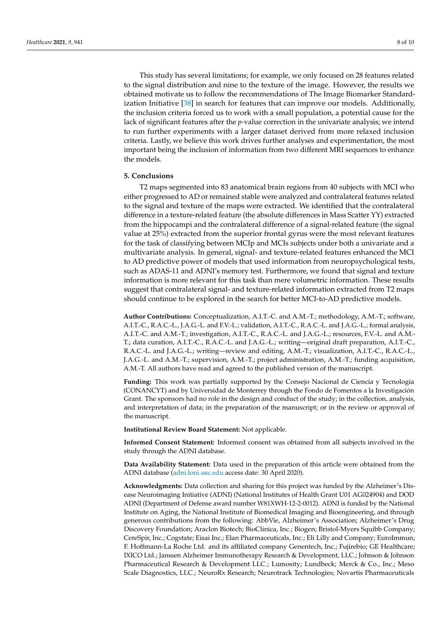This study has several limitations; for example, we only focused on 28 features related to the signal distribution and nine to the texture of the image. However, the results we obtained motivate us to follow the recommendations of The Image Biomarker Standardization Initiative [\[38\]](#page-9-12) in search for features that can improve our models. Additionally, the inclusion criteria forced us to work with a small population, a potential cause for the lack of significant features after the *p*-value correction in the univariate analysis; we intend to run further experiments with a larger dataset derived from more relaxed inclusion criteria. Lastly, we believe this work drives further analyses and experimentation, the most important being the inclusion of information from two different MRI sequences to enhance the models.

## **5. Conclusions**

T2 maps segmented into 83 anatomical brain regions from 40 subjects with MCI who either progressed to AD or remained stable were analyzed and contralateral features related to the signal and texture of the maps were extracted. We identified that the contralateral difference in a texture-related feature (the absolute differences in Mass Scatter YY) extracted from the hippocampi and the contralateral difference of a signal-related feature (the signal value at 25%) extracted from the superior frontal gyrus were the most relevant features for the task of classifying between MCIp and MCIs subjects under both a univariate and a multivariate analysis. In general, signal- and texture-related features enhanced the MCI to AD predictive power of models that used information from neuropsychological tests, such as ADAS-11 and ADNI's memory test. Furthermore, we found that signal and texture information is more relevant for this task than mere volumetric information. These results suggest that contralateral signal- and texture-related information extracted from T2 maps should continue to be explored in the search for better MCI-to-AD predictive models.

**Author Contributions:** Conceptualization, A.I.T.-C. and A.M.-T.; methodology, A.M.-T.; software, A.I.T.-C., R.A.C.-L., J.A.G.-L. and F.V.-L.; validation, A.I.T.-C., R.A.C.-L. and J.A.G.-L.; formal analysis, A.I.T.-C. and A.M.-T.; investigation, A.I.T.-C., R.A.C.-L. and J.A.G.-L.; resources, F.V.-L. and A.M.- T.; data curation, A.I.T.-C., R.A.C.-L. and J.A.G.-L.; writing—original draft preparation, A.I.T.-C., R.A.C.-L. and J.A.G.-L.; writing—review and editing, A.M.-T.; visualization, A.I.T.-C., R.A.C.-L., J.A.G.-L. and A.M.-T.; supervision, A.M.-T.; project administration, A.M.-T.; funding acquisition, A.M.-T. All authors have read and agreed to the published version of the manuscript.

**Funding:** This work was partially supported by the Consejo Nacional de Ciencia y Tecnología (CONANCYT) and by Universidad de Monterrey through the Fondo de Fomentos a la Investigación Grant. The sponsors had no role in the design and conduct of the study; in the collection, analysis, and interpretation of data; in the preparation of the manuscript; or in the review or approval of the manuscript.

**Institutional Review Board Statement:** Not applicable.

**Informed Consent Statement:** Informed consent was obtained from all subjects involved in the study through the ADNI database.

**Data Availability Statement:** Data used in the preparation of this article were obtained from the ADNI database [\(adni.loni.usc.edu](adni.loni.usc.edu) access date: 30 April 2020).

**Acknowledgments:** Data collection and sharing for this project was funded by the Alzheimer's Disease Neuroimaging Initiative (ADNI) (National Institutes of Health Grant U01 AG024904) and DOD ADNI (Department of Defense award number W81XWH-12-2-0012). ADNI is funded by the National Institute on Aging, the National Institute of Biomedical Imaging and Bioengineering, and through generous contributions from the following: AbbVie, Alzheimer's Association; Alzheimer's Drug Discovery Foundation; Araclon Biotech; BioClinica, Inc.; Biogen; Bristol-Myers Squibb Company; CereSpir, Inc.; Cogstate; Eisai Inc.; Elan Pharmaceuticals, Inc.; Eli Lilly and Company; EuroImmun; F. Hoffmann-La Roche Ltd. and its affiliated company Genentech, Inc.; Fujirebio; GE Healthcare; IXICO Ltd.; Janssen Alzheimer Immunotherapy Research & Development, LLC.; Johnson & Johnson Pharmaceutical Research & Development LLC.; Lumosity; Lundbeck; Merck & Co., Inc.; Meso Scale Diagnostics, LLC.; NeuroRx Research; Neurotrack Technologies; Novartis Pharmaceuticals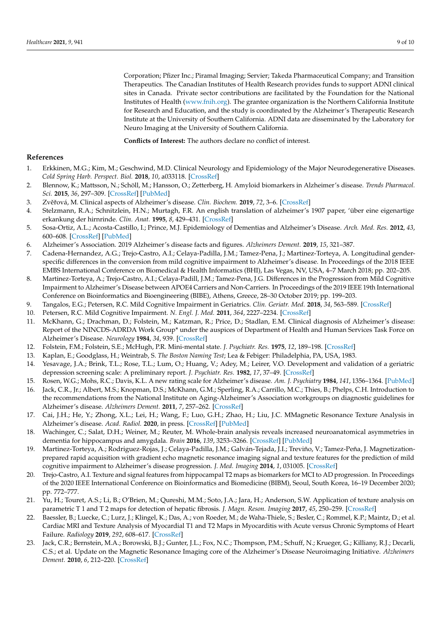Corporation; Pfizer Inc.; Piramal Imaging; Servier; Takeda Pharmaceutical Company; and Transition Therapeutics. The Canadian Institutes of Health Research provides funds to support ADNI clinical sites in Canada. Private sector contributions are facilitated by the Foundation for the National Institutes of Health [\(www.fnih.org\)](www.fnih.org). The grantee organization is the Northern California Institute for Research and Education, and the study is coordinated by the Alzheimer's Therapeutic Research Institute at the University of Southern California. ADNI data are disseminated by the Laboratory for Neuro Imaging at the University of Southern California.

**Conflicts of Interest:** The authors declare no conflict of interest.

## **References**

- <span id="page-8-0"></span>1. Erkkinen, M.G.; Kim, M.; Geschwind, M.D. Clinical Neurology and Epidemiology of the Major Neurodegenerative Diseases. *Cold Spring Harb. Perspect. Biol.* **2018**, *10*, a033118. [\[CrossRef\]](http://doi.org/10.1101/cshperspect.a033118)
- <span id="page-8-1"></span>2. Blennow, K.; Mattsson, N.; Schöll, M.; Hansson, O.; Zetterberg, H. Amyloid biomarkers in Alzheimer's disease. *Trends Pharmacol. Sci.* **2015**, *36*, 297–309. [\[CrossRef\]](http://doi.org/10.1016/j.tips.2015.03.002) [\[PubMed\]](http://www.ncbi.nlm.nih.gov/pubmed/25840462)
- <span id="page-8-2"></span>3. Zvěřová, M. Clinical aspects of Alzheimer's disease. Clin. Biochem. 2019, 72, 3–6. [\[CrossRef\]](http://doi.org/10.1016/j.clinbiochem.2019.04.015)
- <span id="page-8-3"></span>4. Stelzmann, R.A.; Schnitzlein, H.N.; Murtagh, F.R. An english translation of alzheimer's 1907 paper, 'über eine eigenartige erkankung der hirnrinde. *Clin. Anat.* **1995**, *8*, 429–431. [\[CrossRef\]](http://doi.org/10.1002/ca.980080612)
- <span id="page-8-4"></span>5. Sosa-Ortiz, A.L.; Acosta-Castillo, I.; Prince, M.J. Epidemiology of Dementias and Alzheimer's Disease. *Arch. Med. Res.* **2012**, *43*, 600–608. [\[CrossRef\]](http://doi.org/10.1016/j.arcmed.2012.11.003) [\[PubMed\]](http://www.ncbi.nlm.nih.gov/pubmed/23159715)
- <span id="page-8-5"></span>6. Alzheimer's Association. 2019 Alzheimer's disease facts and figures. *Alzheimers Dement.* **2019**, *15*, 321–387.
- 7. Cadena-Hernandez, A.G.; Trejo-Castro, A.I.; Celaya-Padilla, J.M.; Tamez-Pena, J.; Martinez-Torteya, A. Longitudinal genderspecific differences in the conversion from mild cognitive impairment to Alzheimer's disease. In Proceedings of the 2018 IEEE EMBS International Conference on Biomedical & Health Informatics (BHI), Las Vegas, NV, USA, 4–7 March 2018; pp. 202–205.
- <span id="page-8-6"></span>8. Martinez-Torteya, A.; Trejo-Castro, A.I.; Celaya-Padill, J.M.; Tamez-Pena, J.G. Differences in the Progression from Mild Cognitive Impairment to Alzheimer's Disease between APOE4 Carriers and Non-Carriers. In Proceedings of the 2019 IEEE 19th International Conference on Bioinformatics and Bioengineering (BIBE), Athens, Greece, 28–30 October 2019; pp. 199–203.
- <span id="page-8-7"></span>9. Tangalos, E.G.; Petersen, R.C. Mild Cognitive Impairment in Geriatrics. *Clin. Geriatr. Med.* **2018**, *34*, 563–589. [\[CrossRef\]](http://doi.org/10.1016/j.cger.2018.06.005)
- <span id="page-8-8"></span>10. Petersen, R.C. Mild Cognitive Impairment. *N. Engl. J. Med.* **2011**, *364*, 2227–2234. [\[CrossRef\]](http://doi.org/10.1056/NEJMcp0910237)
- <span id="page-8-9"></span>11. McKhann, G.; Drachman, D.; Folstein, M.; Katzman, R.; Price, D.; Stadlan, E.M. Clinical diagnosis of Alzheimer's disease: Report of the NINCDS-ADRDA Work Group\* under the auspices of Department of Health and Human Services Task Force on Alzheimer's Disease. *Neurology* **1984**, *34*, 939. [\[CrossRef\]](http://doi.org/10.1212/WNL.34.7.939)
- <span id="page-8-10"></span>12. Folstein, F.M.; Folstein, S.E.; McHugh, P.R. Mini-mental state. *J. Psychiatr. Res.* **1975**, *12*, 189–198. [\[CrossRef\]](http://doi.org/10.1016/0022-3956(75)90026-6)
- <span id="page-8-11"></span>13. Kaplan, E.; Goodglass, H.; Weintrab, S. *The Boston Naming Test*; Lea & Febiger: Philadelphia, PA, USA, 1983.
- <span id="page-8-12"></span>14. Yesavage, J.A.; Brink, T.L.; Rose, T.L.; Lum, O.; Huang, V.; Adey, M.; Leirer, V.O. Development and validation of a geriatric depression screening scale: A preliminary report. *J. Psychiatr. Res.* **1982**, *17*, 37–49. [\[CrossRef\]](http://doi.org/10.1016/0022-3956(82)90033-4)
- <span id="page-8-13"></span>15. Rosen, W.G.; Mohs, R.C.; Davis, K.L. A new rating scale for Alzheimer's disease. *Am. J. Psychiatry* **1984**, *141*, 1356–1364. [\[PubMed\]](http://www.ncbi.nlm.nih.gov/pubmed/6496779)
- <span id="page-8-14"></span>16. Jack, C.R., Jr.; Albert, M.S.; Knopman, D.S.; McKhann, G.M.; Sperling, R.A.; Carrillo, M.C.; Thies, B.; Phelps, C.H. Introduction to the recommendations from the National Institute on Aging-Alzheimer's Association workgroups on diagnostic guidelines for Alzheimer's disease. *Alzheimers Dement.* **2011**, *7*, 257–262. [\[CrossRef\]](http://doi.org/10.1016/j.jalz.2011.03.004)
- <span id="page-8-15"></span>17. Cai, J.H.; He, Y.; Zhong, X.L.; Lei, H.; Wang, F.; Luo, G.H.; Zhao, H.; Liu, J.C. MMagnetic Resonance Texture Analysis in Alzheimer's disease. *Acad. Radiol.* **2020**, in press. [\[CrossRef\]](http://doi.org/10.1016/j.acra.2020.01.006) [\[PubMed\]](http://www.ncbi.nlm.nih.gov/pubmed/32057617)
- <span id="page-8-16"></span>18. Wachinger, C.; Salat, D.H.; Weiner, M.; Reuter, M. Whole-brain analysis reveals increased neuroanatomical asymmetries in dementia for hippocampus and amygdala. *Brain* **2016**, *139*, 3253–3266. [\[CrossRef\]](http://doi.org/10.1093/brain/aww243) [\[PubMed\]](http://www.ncbi.nlm.nih.gov/pubmed/27913407)
- <span id="page-8-17"></span>19. Martinez-Torteya, A.; Rodriguez-Rojas, J.; Celaya-Padilla, J.M.; Galván-Tejada, J.I.; Treviño, V.; Tamez-Peña, J. Magnetizationprepared rapid acquisition with gradient echo magnetic resonance imaging signal and texture features for the prediction of mild cognitive impairment to Alzheimer's disease progression. *J. Med. Imaging* **2014**, *1*, 031005. [\[CrossRef\]](http://doi.org/10.1117/1.JMI.1.3.031005)
- <span id="page-8-18"></span>20. Trejo-Castro, A.I. Texture and signal features from hippocampal T2 maps as biomarkers for MCI to AD progression. In Proceedings of the 2020 IEEE International Conference on Bioinformatics and Biomedicine (BIBM), Seoul, South Korea, 16–19 December 2020; pp. 772–777.
- <span id="page-8-19"></span>21. Yu, H.; Touret, A.S.; Li, B.; O'Brien, M.; Qureshi, M.M.; Soto, J.A.; Jara, H.; Anderson, S.W. Application of texture analysis on parametric T 1 and T 2 maps for detection of hepatic fibrosis. *J. Magn. Reson. Imaging* **2017**, *45*, 250–259. [\[CrossRef\]](http://doi.org/10.1002/jmri.25328)
- <span id="page-8-20"></span>22. Baessler, B.; Luecke, C.; Lurz, J.; Klingel, K.; Das, A.; von Roeder, M.; de Waha-Thiele, S.; Besler, C.; Rommel, K.P.; Maintz, D.; et al. Cardiac MRI and Texture Analysis of Myocardial T1 and T2 Maps in Myocarditis with Acute versus Chronic Symptoms of Heart Failure. *Radiology* **2019**, *292*, 608–617. [\[CrossRef\]](http://doi.org/10.1148/radiol.2019190101)
- <span id="page-8-21"></span>23. Jack, C.R.; Bernstein, M.A.; Borowski, B.J.; Gunter, J.L.; Fox, N.C.; Thompson, P.M.; Schuff, N.; Krueger, G.; Killiany, R.J.; Decarli, C.S.; et al. Update on the Magnetic Resonance Imaging core of the Alzheimer's Disease Neuroimaging Initiative. *Alzheimers Dement.* **2010**, *6*, 212–220. [\[CrossRef\]](http://doi.org/10.1016/j.jalz.2010.03.004)